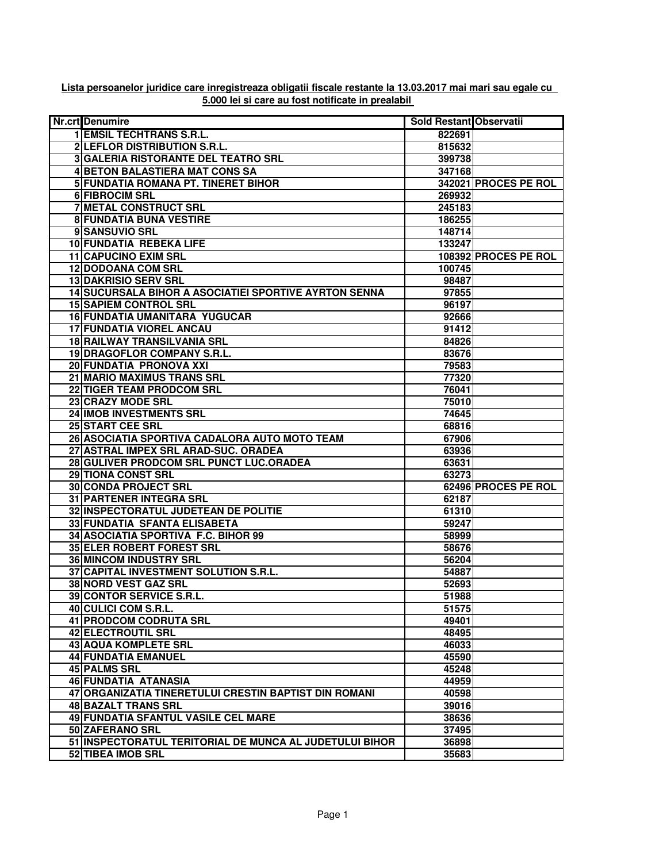| <b>Nr.crt</b> Denumire                                  | <b>Sold Restant Observatii</b> |                      |
|---------------------------------------------------------|--------------------------------|----------------------|
| <b>1 EMSIL TECHTRANS S.R.L.</b>                         | 822691                         |                      |
| 2 LEFLOR DISTRIBUTION S.R.L.                            | 815632                         |                      |
| <b>3 GALERIA RISTORANTE DEL TEATRO SRL</b>              | 399738                         |                      |
| <b>4 BETON BALASTIERA MAT CONS SA</b>                   | 347168                         |                      |
| 5 FUNDATIA ROMANA PT. TINERET BIHOR                     |                                | 342021 PROCES PE ROL |
| <b>6 FIBROCIM SRL</b>                                   | 269932                         |                      |
| <b>7 METAL CONSTRUCT SRL</b>                            | 245183                         |                      |
| <b>8 FUNDATIA BUNA VESTIRE</b>                          | 186255                         |                      |
| 9 SANSUVIO SRL                                          | 148714                         |                      |
| 10 FUNDATIA REBEKA LIFE                                 | 133247                         |                      |
| <b>11 CAPUCINO EXIM SRL</b>                             |                                | 108392 PROCES PE ROL |
| <b>12 DODOANA COM SRL</b>                               | 100745                         |                      |
| <b>13 DAKRISIO SERV SRL</b>                             | 98487                          |                      |
| 14 SUCURSALA BIHOR A ASOCIATIEI SPORTIVE AYRTON SENNA   | 97855                          |                      |
| <b>15 SAPIEM CONTROL SRL</b>                            | 96197                          |                      |
| <b>16 FUNDATIA UMANITARA YUGUCAR</b>                    | 92666                          |                      |
| <b>17 FUNDATIA VIOREL ANCAU</b>                         | 91412                          |                      |
| <b>18 RAILWAY TRANSILVANIA SRL</b>                      | 84826                          |                      |
| 19 DRAGOFLOR COMPANY S.R.L.                             | 83676                          |                      |
| 20 FUNDATIA PRONOVA XXI                                 | 79583                          |                      |
| 21 MARIO MAXIMUS TRANS SRL                              | 77320                          |                      |
| 22 TIGER TEAM PRODCOM SRL                               | 76041                          |                      |
| 23 CRAZY MODE SRL                                       | 75010                          |                      |
| 24 IMOB INVESTMENTS SRL                                 | 74645                          |                      |
| <b>25 START CEE SRL</b>                                 | 68816                          |                      |
| 26 ASOCIATIA SPORTIVA CADALORA AUTO MOTO TEAM           | 67906                          |                      |
| 27 ASTRAL IMPEX SRL ARAD-SUC. ORADEA                    | 63936                          |                      |
| 28 GULIVER PRODCOM SRL PUNCT LUC.ORADEA                 | 63631                          |                      |
| 29 TIONA CONST SRL                                      | 63273                          |                      |
| 30 CONDA PROJECT SRL                                    |                                | 62496 PROCES PE ROL  |
| 31 PARTENER INTEGRA SRL                                 | 62187                          |                      |
| 32 INSPECTORATUL JUDETEAN DE POLITIE                    | 61310                          |                      |
| 33 FUNDATIA SFANTA ELISABETA                            | 59247                          |                      |
| 34 ASOCIATIA SPORTIVA F.C. BIHOR 99                     | 58999                          |                      |
| <b>35 ELER ROBERT FOREST SRL</b>                        | 58676                          |                      |
| <b>36 MINCOM INDUSTRY SRL</b>                           | 56204                          |                      |
| 37 CAPITAL INVESTMENT SOLUTION S.R.L.                   | 54887                          |                      |
| 38 NORD VEST GAZ SRL                                    | 52693                          |                      |
| 39 CONTOR SERVICE S.R.L.                                | 51988                          |                      |
| 40 CULICI COM S.R.L.                                    | 51575                          |                      |
| <b>41 PRODCOM CODRUTA SRL</b>                           | 49401                          |                      |
| <b>42 ELECTROUTIL SRL</b>                               | 48495                          |                      |
| 43 AQUA KOMPLETE SRL                                    | 46033                          |                      |
| 44 FUNDATIA EMANUEL                                     | 45590                          |                      |
| 45 PALMS SRL                                            | 45248                          |                      |
| 46 FUNDATIA ATANASIA                                    | 44959                          |                      |
| 47 ORGANIZATIA TINERETULUI CRESTIN BAPTIST DIN ROMANI   | 40598                          |                      |
| <b>48 BAZALT TRANS SRL</b>                              | 39016                          |                      |
| 49 FUNDATIA SFANTUL VASILE CEL MARE                     | 38636                          |                      |
| 50 ZAFERANO SRL                                         | 37495                          |                      |
| 51 INSPECTORATUL TERITORIAL DE MUNCA AL JUDETULUI BIHOR | 36898                          |                      |
| 52 TIBEA IMOB SRL                                       | 35683                          |                      |

## **Lista persoanelor juridice care inregistreaza obligatii fiscale restante la 13.03.2017 mai mari sau egale cu 5.000 lei si care au fost notificate in prealabil**

 $\overline{\phantom{a}}$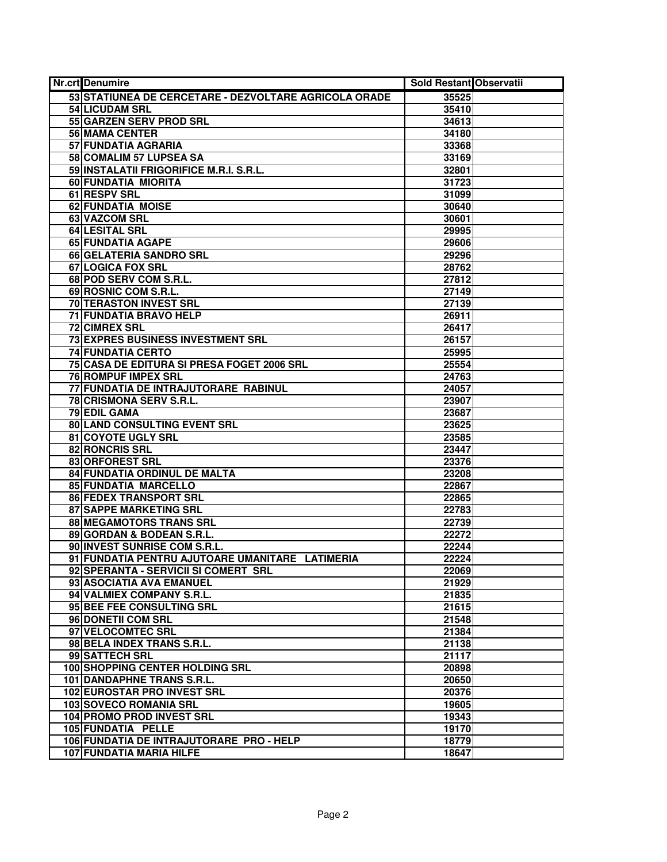| <b>Nr.crt</b> Denumire                                | Sold Restant Observatii |  |
|-------------------------------------------------------|-------------------------|--|
| 53 STATIUNEA DE CERCETARE - DEZVOLTARE AGRICOLA ORADE | 35525                   |  |
| <b>54 LICUDAM SRL</b>                                 | 35410                   |  |
| 55 GARZEN SERV PROD SRL                               | 34613                   |  |
| <b>56 MAMA CENTER</b>                                 | 34180                   |  |
| 57 FUNDATIA AGRARIA                                   | 33368                   |  |
| 58 COMALIM 57 LUPSEA SA                               | 33169                   |  |
| 59 INSTALATII FRIGORIFICE M.R.I. S.R.L.               | 32801                   |  |
| 60 FUNDATIA MIORITA                                   | 31723                   |  |
| 61 RESPV SRL                                          | 31099                   |  |
| 62 FUNDATIA MOISE                                     | 30640                   |  |
| 63 VAZCOM SRL                                         | 30601                   |  |
| <b>64 LESITAL SRL</b>                                 | 29995                   |  |
| 65 FUNDATIA AGAPE                                     | 29606                   |  |
| 66 GELATERIA SANDRO SRL                               | 29296                   |  |
| <b>67 LOGICA FOX SRL</b>                              | 28762                   |  |
| 68 POD SERV COM S.R.L.                                | 27812                   |  |
| 69 ROSNIC COM S.R.L.                                  | 27149                   |  |
| <b>70 TERASTON INVEST SRL</b>                         | 27139                   |  |
| 71 FUNDATIA BRAVO HELP                                | 26911                   |  |
| <b>72 CIMREX SRL</b>                                  | 26417                   |  |
| 73 EXPRES BUSINESS INVESTMENT SRL                     | 26157                   |  |
| <b>74 FUNDATIA CERTO</b>                              | 25995                   |  |
| 75 CASA DE EDITURA SI PRESA FOGET 2006 SRL            | 25554                   |  |
| <b>76 ROMPUF IMPEX SRL</b>                            | 24763                   |  |
| 77 FUNDATIA DE INTRAJUTORARE RABINUL                  | 24057                   |  |
| 78 CRISMONA SERV S.R.L.                               | 23907                   |  |
| <b>79 EDIL GAMA</b>                                   | 23687                   |  |
| 80 LAND CONSULTING EVENT SRL                          | 23625                   |  |
| 81 COYOTE UGLY SRL                                    | 23585                   |  |
| 82 RONCRIS SRL                                        | 23447                   |  |
| 83 ORFOREST SRL                                       | 23376                   |  |
| 84 FUNDATIA ORDINUL DE MALTA                          | 23208                   |  |
| <b>85 FUNDATIA MARCELLO</b>                           | 22867                   |  |
| 86 FEDEX TRANSPORT SRL                                | 22865                   |  |
| <b>87 SAPPE MARKETING SRL</b>                         | 22783                   |  |
| 88 MEGAMOTORS TRANS SRL                               | 22739                   |  |
| 89 GORDAN & BODEAN S.R.L.                             | 22272                   |  |
| 90 INVEST SUNRISE COM S.R.L.                          | 22244                   |  |
| 91 FUNDATIA PENTRU AJUTOARE UMANITARE LATIMERIA       | 22224                   |  |
| 92 SPERANTA - SERVICII SI COMERT SRL                  | 22069                   |  |
| 93 ASOCIATIA AVA EMANUEL                              | 21929                   |  |
| 94 VALMIEX COMPANY S.R.L.                             | 21835                   |  |
| 95 BEE FEE CONSULTING SRL                             | 21615                   |  |
| 96 DONETII COM SRL                                    | 21548                   |  |
| 97 VELOCOMTEC SRL                                     | 21384                   |  |
| 98 BELA INDEX TRANS S.R.L.                            | 21138                   |  |
| 99 SATTECH SRL                                        | 21117                   |  |
| 100 SHOPPING CENTER HOLDING SRL                       | 20898                   |  |
| 101 DANDAPHNE TRANS S.R.L.                            | 20650                   |  |
| 102 EUROSTAR PRO INVEST SRL                           | 20376                   |  |
| 103 SOVECO ROMANIA SRL                                | 19605                   |  |
| 104 PROMO PROD INVEST SRL                             | 19343                   |  |
| 105 FUNDATIA PELLE                                    | 19170                   |  |
| 106 FUNDATIA DE INTRAJUTORARE PRO - HELP              | 18779                   |  |
| 107 FUNDATIA MARIA HILFE                              | 18647                   |  |
|                                                       |                         |  |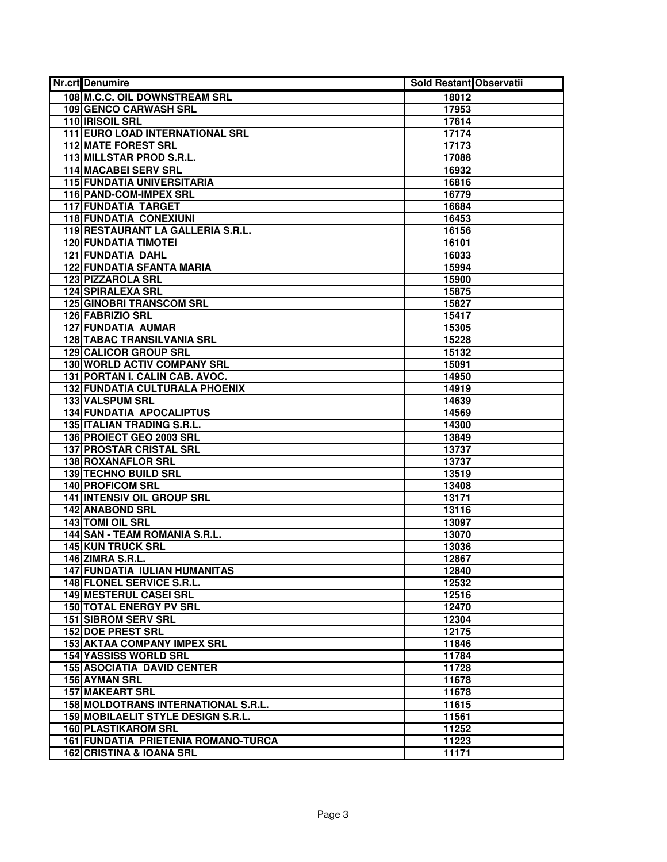| <b>Nr.crt Denumire</b>               | Sold Restant Observatii |  |
|--------------------------------------|-------------------------|--|
| 108 M.C.C. OIL DOWNSTREAM SRL        | 18012                   |  |
| <b>109 GENCO CARWASH SRL</b>         | 17953                   |  |
| 110 <b>IRISOIL SRL</b>               | 17614                   |  |
| 111 EURO LOAD INTERNATIONAL SRL      | 17174                   |  |
| <b>112 MATE FOREST SRL</b>           | 17173                   |  |
| 113 MILLSTAR PROD S.R.L.             | 17088                   |  |
| <b>114 MACABEI SERV SRL</b>          | 16932                   |  |
| <b>115 FUNDATIA UNIVERSITARIA</b>    | 16816                   |  |
| 116 PAND-COM-IMPEX SRL               | 16779                   |  |
| <b>117 FUNDATIA TARGET</b>           | 16684                   |  |
| <b>118 FUNDATIA CONEXIUNI</b>        | 16453                   |  |
| 119 RESTAURANT LA GALLERIA S.R.L.    | 16156                   |  |
| <b>120 FUNDATIA TIMOTEI</b>          | 16101                   |  |
| <b>121 FUNDATIA DAHL</b>             | 16033                   |  |
| <b>122 FUNDATIA SFANTA MARIA</b>     | 15994                   |  |
| 123 PIZZAROLA SRL                    | 15900                   |  |
| <b>124 SPIRALEXA SRL</b>             | 15875                   |  |
| <b>125 GINOBRI TRANSCOM SRL</b>      | 15827                   |  |
| 126 FABRIZIO SRL                     | 15417                   |  |
| <b>127 FUNDATIA AUMAR</b>            | 15305                   |  |
| <b>128 TABAC TRANSILVANIA SRL</b>    | 15228                   |  |
| 129 CALICOR GROUP SRL                | 15132                   |  |
| 130 WORLD ACTIV COMPANY SRL          | 15091                   |  |
| 131 PORTAN I. CALIN CAB. AVOC.       | 14950                   |  |
| 132 FUNDATIA CULTURALA PHOENIX       | 14919                   |  |
| <b>133 VALSPUM SRL</b>               | 14639                   |  |
| <b>134 FUNDATIA APOCALIPTUS</b>      | 14569                   |  |
| <b>135 ITALIAN TRADING S.R.L.</b>    | 14300                   |  |
| 136 PROIECT GEO 2003 SRL             | 13849                   |  |
| 137 PROSTAR CRISTAL SRL              | 13737                   |  |
| 138 ROXANAFLOR SRL                   | 13737                   |  |
| <b>139 TECHNO BUILD SRL</b>          | 13519                   |  |
| <b>140 PROFICOM SRL</b>              | 13408                   |  |
| <b>141 INTENSIV OIL GROUP SRL</b>    | 13171                   |  |
| <b>142 ANABOND SRL</b>               | 13116                   |  |
| <b>143 TOMI OIL SRL</b>              | 13097                   |  |
| 144 SAN - TEAM ROMANIA S.R.L.        | 13070                   |  |
| <b>145 KUN TRUCK SRL</b>             | 13036                   |  |
| 146 ZIMRA S.R.L.                     | 12867                   |  |
| <b>147 FUNDATIA IULIAN HUMANITAS</b> | 12840                   |  |
| 148 FLONEL SERVICE S.R.L.            | 12532                   |  |
| 149 MESTERUL CASEI SRL               | 12516                   |  |
| <b>150 TOTAL ENERGY PV SRL</b>       | 12470                   |  |
| <b>151 SIBROM SERV SRL</b>           | 12304                   |  |
| <b>152 DOE PREST SRL</b>             | 12175                   |  |
| <b>153 AKTAA COMPANY IMPEX SRL</b>   | 11846                   |  |
| <b>154 YASSISS WORLD SRL</b>         | 11784                   |  |
| <b>155 ASOCIATIA DAVID CENTER</b>    | 11728                   |  |
| <b>156 AYMAN SRL</b>                 | 11678                   |  |
| <b>157 MAKEART SRL</b>               | 11678                   |  |
| 158 MOLDOTRANS INTERNATIONAL S.R.L.  | 11615                   |  |
| 159 MOBILAELIT STYLE DESIGN S.R.L.   | 11561                   |  |
| <b>160 PLASTIKAROM SRL</b>           | 11252                   |  |
| 161 FUNDATIA PRIETENIA ROMANO-TURCA  | 11223                   |  |
| 162 CRISTINA & IOANA SRL             | 11171                   |  |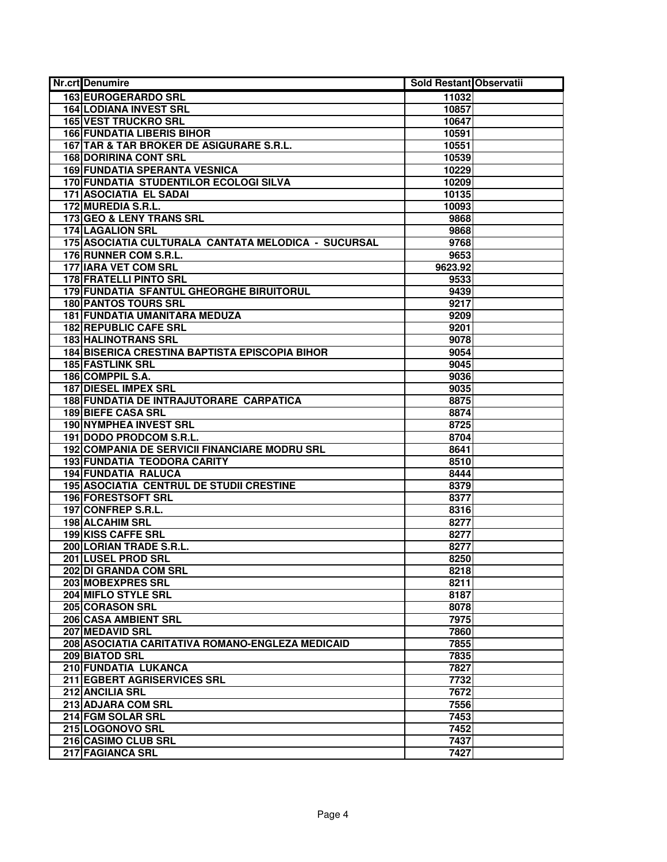| <b>Nr.crt</b> Denumire                                | <b>Sold Restant Observatii</b> |  |
|-------------------------------------------------------|--------------------------------|--|
| 163 EUROGERARDO SRL                                   | 11032                          |  |
| <b>164 LODIANA INVEST SRL</b>                         | 10857                          |  |
| <b>165 VEST TRUCKRO SRL</b>                           | 10647                          |  |
| <b>166 FUNDATIA LIBERIS BIHOR</b>                     | 10591                          |  |
| 167 TAR & TAR BROKER DE ASIGURARE S.R.L.              | 10551                          |  |
| <b>168 DORIRINA CONT SRL</b>                          | 10539                          |  |
| <b>169 FUNDATIA SPERANTA VESNICA</b>                  | 10229                          |  |
| 170 FUNDATIA STUDENTILOR ECOLOGI SILVA                | 10209                          |  |
| 171 ASOCIATIA EL SADAI                                | 10135                          |  |
| 172 MUREDIA S.R.L.                                    | 10093                          |  |
| 173 GEO & LENY TRANS SRL                              | 9868                           |  |
| <b>174 LAGALION SRL</b>                               | 9868                           |  |
| 175 ASOCIATIA CULTURALA CANTATA MELODICA - SUCURSAL   | 9768                           |  |
| 176 RUNNER COM S.R.L.                                 | 9653                           |  |
| <b>177 IARA VET COM SRL</b>                           | 9623.92                        |  |
| 178 FRATELLI PINTO SRL                                | 9533                           |  |
| 179 FUNDATIA SFANTUL GHEORGHE BIRUITORUL              | 9439                           |  |
| <b>180 PANTOS TOURS SRL</b>                           | 9217                           |  |
| <b>181 FUNDATIA UMANITARA MEDUZA</b>                  | 9209                           |  |
| 182 REPUBLIC CAFE SRL                                 | 9201                           |  |
| <b>183 HALINOTRANS SRL</b>                            | 9078                           |  |
| <b>184 BISERICA CRESTINA BAPTISTA EPISCOPIA BIHOR</b> | 9054                           |  |
| <b>185 FASTLINK SRL</b>                               | 9045                           |  |
| 186 COMPPIL S.A.                                      | 9036                           |  |
| 187 DIESEL IMPEX SRL                                  | 9035                           |  |
| 188 FUNDATIA DE INTRAJUTORARE CARPATICA               | 8875                           |  |
| <b>189 BIEFE CASA SRL</b>                             | 8874                           |  |
| <b>190 NYMPHEA INVEST SRL</b>                         | 8725                           |  |
| 191 DODO PRODCOM S.R.L.                               | 8704                           |  |
| 192 COMPANIA DE SERVICII FINANCIARE MODRU SRL         | 8641                           |  |
| 193 FUNDATIA TEODORA CARITY                           | 8510                           |  |
| <b>194 FUNDATIA RALUCA</b>                            | 8444                           |  |
| 195 ASOCIATIA CENTRUL DE STUDII CRESTINE              | 8379                           |  |
| 196 FORESTSOFT SRL                                    | 8377                           |  |
| 197 CONFREP S.R.L.                                    | 8316                           |  |
| <b>198 ALCAHIM SRL</b>                                | 8277                           |  |
| 199 KISS CAFFE SRL                                    | 8277                           |  |
| 200 LORIAN TRADE S.R.L.                               | 8277                           |  |
| 201 LUSEL PROD SRL                                    | 8250                           |  |
| 202 DI GRANDA COM SRL                                 | 8218                           |  |
| 203 MOBEXPRES SRL                                     | 8211                           |  |
| 204 MIFLO STYLE SRL                                   | 8187                           |  |
| 205 CORASON SRL                                       | 8078                           |  |
| 206 CASA AMBIENT SRL                                  | 7975                           |  |
| 207 MEDAVID SRL                                       | 7860                           |  |
| 208 ASOCIATIA CARITATIVA ROMANO-ENGLEZA MEDICAID      | 7855                           |  |
| 209 BIATOD SRL                                        | 7835                           |  |
| 210 FUNDATIA LUKANCA                                  | 7827                           |  |
| 211 EGBERT AGRISERVICES SRL                           | 7732                           |  |
| 212 ANCILIA SRL                                       | 7672                           |  |
| 213 ADJARA COM SRL                                    | 7556                           |  |
| 214 FGM SOLAR SRL                                     | 7453                           |  |
| 215 LOGONOVO SRL                                      | 7452                           |  |
| 216 CASIMO CLUB SRL                                   | 7437                           |  |
| <b>217 FAGIANCA SRL</b>                               | 7427                           |  |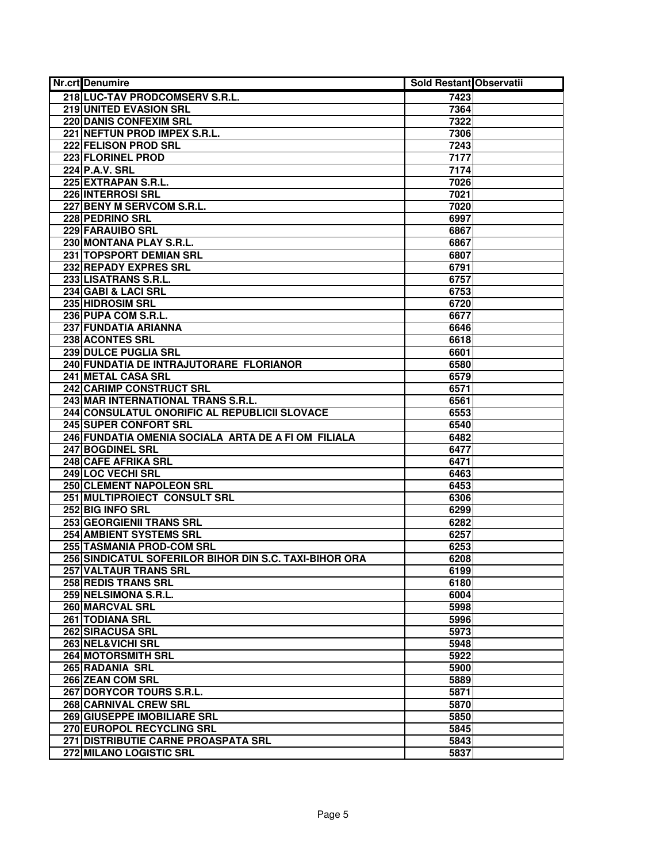| 218 LUC-TAV PRODCOMSERV S.R.L.<br>7423<br>219 UNITED EVASION SRL<br>7364<br><b>220 DANIS CONFEXIM SRL</b><br>7322<br>221 NEFTUN PROD IMPEX S.R.L.<br>7306<br>222 FELISON PROD SRL<br>7243<br><b>223 FLORINEL PROD</b><br>7177<br>224 P.A.V. SRL<br>7174<br>225 EXTRAPAN S.R.L.<br>7026<br>226 INTERROSI SRL<br>7021<br>227 BENY M SERVCOM S.R.L.<br>7020<br>228 PEDRINO SRL<br>6997<br>229 FARAUIBO SRL<br>6867<br>230 MONTANA PLAY S.R.L.<br>6867<br>231 TOPSPORT DEMIAN SRL<br>6807<br>232 REPADY EXPRES SRL<br>6791<br>6757<br>233 LISATRANS S.R.L.<br>234 GABI & LACI SRL<br>6753<br>235 HIDROSIM SRL<br>6720<br>236 PUPA COM S.R.L.<br>6677<br>237 FUNDATIA ARIANNA<br>6646<br>238 ACONTES SRL<br>6618<br>239 DULCE PUGLIA SRL<br>6601<br>240 FUNDATIA DE INTRAJUTORARE FLORIANOR<br>6580<br>241 METAL CASA SRL<br>6579<br>242 CARIMP CONSTRUCT SRL<br>6571<br>243 MAR INTERNATIONAL TRANS S.R.L.<br>6561<br>244 CONSULATUL ONORIFIC AL REPUBLICII SLOVACE<br>6553<br>245 SUPER CONFORT SRL<br>6540<br>246 FUNDATIA OMENIA SOCIALA ARTA DE A FI OM FILIALA<br>6482<br>247 BOGDINEL SRL<br>6477<br>248 CAFE AFRIKA SRL<br>6471<br>249 LOC VECHI SRL<br>6463<br>250 CLEMENT NAPOLEON SRL<br>6453<br>251 MULTIPROIECT CONSULT SRL<br>6306<br>252 BIG INFO SRL<br>6299<br>253 GEORGIENII TRANS SRL<br>6282<br>6257<br>254 AMBIENT SYSTEMS SRL<br>255 TASMANIA PROD-COM SRL<br>6253<br>256 SINDICATUL SOFERILOR BIHOR DIN S.C. TAXI-BIHOR ORA<br>6208<br>257 VALTAUR TRANS SRL<br>6199<br>258 REDIS TRANS SRL<br>6180<br>259 NELSIMONA S.R.L.<br>6004<br>260 MARCVAL SRL<br>5998<br>261 TODIANA SRL<br>5996<br>262 SIRACUSA SRL<br>5973<br>263 NEL&VICHI SRL<br>5948<br><b>264 MOTORSMITH SRL</b><br>5922<br><b>265 RADANIA SRL</b><br>5900<br><b>266 ZEAN COM SRL</b><br>5889<br>267 DORYCOR TOURS S.R.L.<br>5871<br>268 CARNIVAL CREW SRL<br>5870<br><b>269 GIUSEPPE IMOBILIARE SRL</b><br>5850<br>270 EUROPOL RECYCLING SRL<br>5845<br>271 DISTRIBUTIE CARNE PROASPATA SRL<br>5843<br>272 MILANO LOGISTIC SRL<br>5837 | <b>Nr.crt</b> Denumire | <b>Sold Restant Observatii</b> |  |
|--------------------------------------------------------------------------------------------------------------------------------------------------------------------------------------------------------------------------------------------------------------------------------------------------------------------------------------------------------------------------------------------------------------------------------------------------------------------------------------------------------------------------------------------------------------------------------------------------------------------------------------------------------------------------------------------------------------------------------------------------------------------------------------------------------------------------------------------------------------------------------------------------------------------------------------------------------------------------------------------------------------------------------------------------------------------------------------------------------------------------------------------------------------------------------------------------------------------------------------------------------------------------------------------------------------------------------------------------------------------------------------------------------------------------------------------------------------------------------------------------------------------------------------------------------------------------------------------------------------------------------------------------------------------------------------------------------------------------------------------------------------------------------------------------------------------------------------------------------------------------------------------------------------------------------------------------------------------------------------------------------------------------|------------------------|--------------------------------|--|
|                                                                                                                                                                                                                                                                                                                                                                                                                                                                                                                                                                                                                                                                                                                                                                                                                                                                                                                                                                                                                                                                                                                                                                                                                                                                                                                                                                                                                                                                                                                                                                                                                                                                                                                                                                                                                                                                                                                                                                                                                          |                        |                                |  |
|                                                                                                                                                                                                                                                                                                                                                                                                                                                                                                                                                                                                                                                                                                                                                                                                                                                                                                                                                                                                                                                                                                                                                                                                                                                                                                                                                                                                                                                                                                                                                                                                                                                                                                                                                                                                                                                                                                                                                                                                                          |                        |                                |  |
|                                                                                                                                                                                                                                                                                                                                                                                                                                                                                                                                                                                                                                                                                                                                                                                                                                                                                                                                                                                                                                                                                                                                                                                                                                                                                                                                                                                                                                                                                                                                                                                                                                                                                                                                                                                                                                                                                                                                                                                                                          |                        |                                |  |
|                                                                                                                                                                                                                                                                                                                                                                                                                                                                                                                                                                                                                                                                                                                                                                                                                                                                                                                                                                                                                                                                                                                                                                                                                                                                                                                                                                                                                                                                                                                                                                                                                                                                                                                                                                                                                                                                                                                                                                                                                          |                        |                                |  |
|                                                                                                                                                                                                                                                                                                                                                                                                                                                                                                                                                                                                                                                                                                                                                                                                                                                                                                                                                                                                                                                                                                                                                                                                                                                                                                                                                                                                                                                                                                                                                                                                                                                                                                                                                                                                                                                                                                                                                                                                                          |                        |                                |  |
|                                                                                                                                                                                                                                                                                                                                                                                                                                                                                                                                                                                                                                                                                                                                                                                                                                                                                                                                                                                                                                                                                                                                                                                                                                                                                                                                                                                                                                                                                                                                                                                                                                                                                                                                                                                                                                                                                                                                                                                                                          |                        |                                |  |
|                                                                                                                                                                                                                                                                                                                                                                                                                                                                                                                                                                                                                                                                                                                                                                                                                                                                                                                                                                                                                                                                                                                                                                                                                                                                                                                                                                                                                                                                                                                                                                                                                                                                                                                                                                                                                                                                                                                                                                                                                          |                        |                                |  |
|                                                                                                                                                                                                                                                                                                                                                                                                                                                                                                                                                                                                                                                                                                                                                                                                                                                                                                                                                                                                                                                                                                                                                                                                                                                                                                                                                                                                                                                                                                                                                                                                                                                                                                                                                                                                                                                                                                                                                                                                                          |                        |                                |  |
|                                                                                                                                                                                                                                                                                                                                                                                                                                                                                                                                                                                                                                                                                                                                                                                                                                                                                                                                                                                                                                                                                                                                                                                                                                                                                                                                                                                                                                                                                                                                                                                                                                                                                                                                                                                                                                                                                                                                                                                                                          |                        |                                |  |
|                                                                                                                                                                                                                                                                                                                                                                                                                                                                                                                                                                                                                                                                                                                                                                                                                                                                                                                                                                                                                                                                                                                                                                                                                                                                                                                                                                                                                                                                                                                                                                                                                                                                                                                                                                                                                                                                                                                                                                                                                          |                        |                                |  |
|                                                                                                                                                                                                                                                                                                                                                                                                                                                                                                                                                                                                                                                                                                                                                                                                                                                                                                                                                                                                                                                                                                                                                                                                                                                                                                                                                                                                                                                                                                                                                                                                                                                                                                                                                                                                                                                                                                                                                                                                                          |                        |                                |  |
|                                                                                                                                                                                                                                                                                                                                                                                                                                                                                                                                                                                                                                                                                                                                                                                                                                                                                                                                                                                                                                                                                                                                                                                                                                                                                                                                                                                                                                                                                                                                                                                                                                                                                                                                                                                                                                                                                                                                                                                                                          |                        |                                |  |
|                                                                                                                                                                                                                                                                                                                                                                                                                                                                                                                                                                                                                                                                                                                                                                                                                                                                                                                                                                                                                                                                                                                                                                                                                                                                                                                                                                                                                                                                                                                                                                                                                                                                                                                                                                                                                                                                                                                                                                                                                          |                        |                                |  |
|                                                                                                                                                                                                                                                                                                                                                                                                                                                                                                                                                                                                                                                                                                                                                                                                                                                                                                                                                                                                                                                                                                                                                                                                                                                                                                                                                                                                                                                                                                                                                                                                                                                                                                                                                                                                                                                                                                                                                                                                                          |                        |                                |  |
|                                                                                                                                                                                                                                                                                                                                                                                                                                                                                                                                                                                                                                                                                                                                                                                                                                                                                                                                                                                                                                                                                                                                                                                                                                                                                                                                                                                                                                                                                                                                                                                                                                                                                                                                                                                                                                                                                                                                                                                                                          |                        |                                |  |
|                                                                                                                                                                                                                                                                                                                                                                                                                                                                                                                                                                                                                                                                                                                                                                                                                                                                                                                                                                                                                                                                                                                                                                                                                                                                                                                                                                                                                                                                                                                                                                                                                                                                                                                                                                                                                                                                                                                                                                                                                          |                        |                                |  |
|                                                                                                                                                                                                                                                                                                                                                                                                                                                                                                                                                                                                                                                                                                                                                                                                                                                                                                                                                                                                                                                                                                                                                                                                                                                                                                                                                                                                                                                                                                                                                                                                                                                                                                                                                                                                                                                                                                                                                                                                                          |                        |                                |  |
|                                                                                                                                                                                                                                                                                                                                                                                                                                                                                                                                                                                                                                                                                                                                                                                                                                                                                                                                                                                                                                                                                                                                                                                                                                                                                                                                                                                                                                                                                                                                                                                                                                                                                                                                                                                                                                                                                                                                                                                                                          |                        |                                |  |
|                                                                                                                                                                                                                                                                                                                                                                                                                                                                                                                                                                                                                                                                                                                                                                                                                                                                                                                                                                                                                                                                                                                                                                                                                                                                                                                                                                                                                                                                                                                                                                                                                                                                                                                                                                                                                                                                                                                                                                                                                          |                        |                                |  |
|                                                                                                                                                                                                                                                                                                                                                                                                                                                                                                                                                                                                                                                                                                                                                                                                                                                                                                                                                                                                                                                                                                                                                                                                                                                                                                                                                                                                                                                                                                                                                                                                                                                                                                                                                                                                                                                                                                                                                                                                                          |                        |                                |  |
|                                                                                                                                                                                                                                                                                                                                                                                                                                                                                                                                                                                                                                                                                                                                                                                                                                                                                                                                                                                                                                                                                                                                                                                                                                                                                                                                                                                                                                                                                                                                                                                                                                                                                                                                                                                                                                                                                                                                                                                                                          |                        |                                |  |
|                                                                                                                                                                                                                                                                                                                                                                                                                                                                                                                                                                                                                                                                                                                                                                                                                                                                                                                                                                                                                                                                                                                                                                                                                                                                                                                                                                                                                                                                                                                                                                                                                                                                                                                                                                                                                                                                                                                                                                                                                          |                        |                                |  |
|                                                                                                                                                                                                                                                                                                                                                                                                                                                                                                                                                                                                                                                                                                                                                                                                                                                                                                                                                                                                                                                                                                                                                                                                                                                                                                                                                                                                                                                                                                                                                                                                                                                                                                                                                                                                                                                                                                                                                                                                                          |                        |                                |  |
|                                                                                                                                                                                                                                                                                                                                                                                                                                                                                                                                                                                                                                                                                                                                                                                                                                                                                                                                                                                                                                                                                                                                                                                                                                                                                                                                                                                                                                                                                                                                                                                                                                                                                                                                                                                                                                                                                                                                                                                                                          |                        |                                |  |
|                                                                                                                                                                                                                                                                                                                                                                                                                                                                                                                                                                                                                                                                                                                                                                                                                                                                                                                                                                                                                                                                                                                                                                                                                                                                                                                                                                                                                                                                                                                                                                                                                                                                                                                                                                                                                                                                                                                                                                                                                          |                        |                                |  |
|                                                                                                                                                                                                                                                                                                                                                                                                                                                                                                                                                                                                                                                                                                                                                                                                                                                                                                                                                                                                                                                                                                                                                                                                                                                                                                                                                                                                                                                                                                                                                                                                                                                                                                                                                                                                                                                                                                                                                                                                                          |                        |                                |  |
|                                                                                                                                                                                                                                                                                                                                                                                                                                                                                                                                                                                                                                                                                                                                                                                                                                                                                                                                                                                                                                                                                                                                                                                                                                                                                                                                                                                                                                                                                                                                                                                                                                                                                                                                                                                                                                                                                                                                                                                                                          |                        |                                |  |
|                                                                                                                                                                                                                                                                                                                                                                                                                                                                                                                                                                                                                                                                                                                                                                                                                                                                                                                                                                                                                                                                                                                                                                                                                                                                                                                                                                                                                                                                                                                                                                                                                                                                                                                                                                                                                                                                                                                                                                                                                          |                        |                                |  |
|                                                                                                                                                                                                                                                                                                                                                                                                                                                                                                                                                                                                                                                                                                                                                                                                                                                                                                                                                                                                                                                                                                                                                                                                                                                                                                                                                                                                                                                                                                                                                                                                                                                                                                                                                                                                                                                                                                                                                                                                                          |                        |                                |  |
|                                                                                                                                                                                                                                                                                                                                                                                                                                                                                                                                                                                                                                                                                                                                                                                                                                                                                                                                                                                                                                                                                                                                                                                                                                                                                                                                                                                                                                                                                                                                                                                                                                                                                                                                                                                                                                                                                                                                                                                                                          |                        |                                |  |
|                                                                                                                                                                                                                                                                                                                                                                                                                                                                                                                                                                                                                                                                                                                                                                                                                                                                                                                                                                                                                                                                                                                                                                                                                                                                                                                                                                                                                                                                                                                                                                                                                                                                                                                                                                                                                                                                                                                                                                                                                          |                        |                                |  |
|                                                                                                                                                                                                                                                                                                                                                                                                                                                                                                                                                                                                                                                                                                                                                                                                                                                                                                                                                                                                                                                                                                                                                                                                                                                                                                                                                                                                                                                                                                                                                                                                                                                                                                                                                                                                                                                                                                                                                                                                                          |                        |                                |  |
|                                                                                                                                                                                                                                                                                                                                                                                                                                                                                                                                                                                                                                                                                                                                                                                                                                                                                                                                                                                                                                                                                                                                                                                                                                                                                                                                                                                                                                                                                                                                                                                                                                                                                                                                                                                                                                                                                                                                                                                                                          |                        |                                |  |
|                                                                                                                                                                                                                                                                                                                                                                                                                                                                                                                                                                                                                                                                                                                                                                                                                                                                                                                                                                                                                                                                                                                                                                                                                                                                                                                                                                                                                                                                                                                                                                                                                                                                                                                                                                                                                                                                                                                                                                                                                          |                        |                                |  |
|                                                                                                                                                                                                                                                                                                                                                                                                                                                                                                                                                                                                                                                                                                                                                                                                                                                                                                                                                                                                                                                                                                                                                                                                                                                                                                                                                                                                                                                                                                                                                                                                                                                                                                                                                                                                                                                                                                                                                                                                                          |                        |                                |  |
|                                                                                                                                                                                                                                                                                                                                                                                                                                                                                                                                                                                                                                                                                                                                                                                                                                                                                                                                                                                                                                                                                                                                                                                                                                                                                                                                                                                                                                                                                                                                                                                                                                                                                                                                                                                                                                                                                                                                                                                                                          |                        |                                |  |
|                                                                                                                                                                                                                                                                                                                                                                                                                                                                                                                                                                                                                                                                                                                                                                                                                                                                                                                                                                                                                                                                                                                                                                                                                                                                                                                                                                                                                                                                                                                                                                                                                                                                                                                                                                                                                                                                                                                                                                                                                          |                        |                                |  |
|                                                                                                                                                                                                                                                                                                                                                                                                                                                                                                                                                                                                                                                                                                                                                                                                                                                                                                                                                                                                                                                                                                                                                                                                                                                                                                                                                                                                                                                                                                                                                                                                                                                                                                                                                                                                                                                                                                                                                                                                                          |                        |                                |  |
|                                                                                                                                                                                                                                                                                                                                                                                                                                                                                                                                                                                                                                                                                                                                                                                                                                                                                                                                                                                                                                                                                                                                                                                                                                                                                                                                                                                                                                                                                                                                                                                                                                                                                                                                                                                                                                                                                                                                                                                                                          |                        |                                |  |
|                                                                                                                                                                                                                                                                                                                                                                                                                                                                                                                                                                                                                                                                                                                                                                                                                                                                                                                                                                                                                                                                                                                                                                                                                                                                                                                                                                                                                                                                                                                                                                                                                                                                                                                                                                                                                                                                                                                                                                                                                          |                        |                                |  |
|                                                                                                                                                                                                                                                                                                                                                                                                                                                                                                                                                                                                                                                                                                                                                                                                                                                                                                                                                                                                                                                                                                                                                                                                                                                                                                                                                                                                                                                                                                                                                                                                                                                                                                                                                                                                                                                                                                                                                                                                                          |                        |                                |  |
|                                                                                                                                                                                                                                                                                                                                                                                                                                                                                                                                                                                                                                                                                                                                                                                                                                                                                                                                                                                                                                                                                                                                                                                                                                                                                                                                                                                                                                                                                                                                                                                                                                                                                                                                                                                                                                                                                                                                                                                                                          |                        |                                |  |
|                                                                                                                                                                                                                                                                                                                                                                                                                                                                                                                                                                                                                                                                                                                                                                                                                                                                                                                                                                                                                                                                                                                                                                                                                                                                                                                                                                                                                                                                                                                                                                                                                                                                                                                                                                                                                                                                                                                                                                                                                          |                        |                                |  |
|                                                                                                                                                                                                                                                                                                                                                                                                                                                                                                                                                                                                                                                                                                                                                                                                                                                                                                                                                                                                                                                                                                                                                                                                                                                                                                                                                                                                                                                                                                                                                                                                                                                                                                                                                                                                                                                                                                                                                                                                                          |                        |                                |  |
|                                                                                                                                                                                                                                                                                                                                                                                                                                                                                                                                                                                                                                                                                                                                                                                                                                                                                                                                                                                                                                                                                                                                                                                                                                                                                                                                                                                                                                                                                                                                                                                                                                                                                                                                                                                                                                                                                                                                                                                                                          |                        |                                |  |
|                                                                                                                                                                                                                                                                                                                                                                                                                                                                                                                                                                                                                                                                                                                                                                                                                                                                                                                                                                                                                                                                                                                                                                                                                                                                                                                                                                                                                                                                                                                                                                                                                                                                                                                                                                                                                                                                                                                                                                                                                          |                        |                                |  |
|                                                                                                                                                                                                                                                                                                                                                                                                                                                                                                                                                                                                                                                                                                                                                                                                                                                                                                                                                                                                                                                                                                                                                                                                                                                                                                                                                                                                                                                                                                                                                                                                                                                                                                                                                                                                                                                                                                                                                                                                                          |                        |                                |  |
|                                                                                                                                                                                                                                                                                                                                                                                                                                                                                                                                                                                                                                                                                                                                                                                                                                                                                                                                                                                                                                                                                                                                                                                                                                                                                                                                                                                                                                                                                                                                                                                                                                                                                                                                                                                                                                                                                                                                                                                                                          |                        |                                |  |
|                                                                                                                                                                                                                                                                                                                                                                                                                                                                                                                                                                                                                                                                                                                                                                                                                                                                                                                                                                                                                                                                                                                                                                                                                                                                                                                                                                                                                                                                                                                                                                                                                                                                                                                                                                                                                                                                                                                                                                                                                          |                        |                                |  |
|                                                                                                                                                                                                                                                                                                                                                                                                                                                                                                                                                                                                                                                                                                                                                                                                                                                                                                                                                                                                                                                                                                                                                                                                                                                                                                                                                                                                                                                                                                                                                                                                                                                                                                                                                                                                                                                                                                                                                                                                                          |                        |                                |  |
|                                                                                                                                                                                                                                                                                                                                                                                                                                                                                                                                                                                                                                                                                                                                                                                                                                                                                                                                                                                                                                                                                                                                                                                                                                                                                                                                                                                                                                                                                                                                                                                                                                                                                                                                                                                                                                                                                                                                                                                                                          |                        |                                |  |
|                                                                                                                                                                                                                                                                                                                                                                                                                                                                                                                                                                                                                                                                                                                                                                                                                                                                                                                                                                                                                                                                                                                                                                                                                                                                                                                                                                                                                                                                                                                                                                                                                                                                                                                                                                                                                                                                                                                                                                                                                          |                        |                                |  |
|                                                                                                                                                                                                                                                                                                                                                                                                                                                                                                                                                                                                                                                                                                                                                                                                                                                                                                                                                                                                                                                                                                                                                                                                                                                                                                                                                                                                                                                                                                                                                                                                                                                                                                                                                                                                                                                                                                                                                                                                                          |                        |                                |  |
|                                                                                                                                                                                                                                                                                                                                                                                                                                                                                                                                                                                                                                                                                                                                                                                                                                                                                                                                                                                                                                                                                                                                                                                                                                                                                                                                                                                                                                                                                                                                                                                                                                                                                                                                                                                                                                                                                                                                                                                                                          |                        |                                |  |